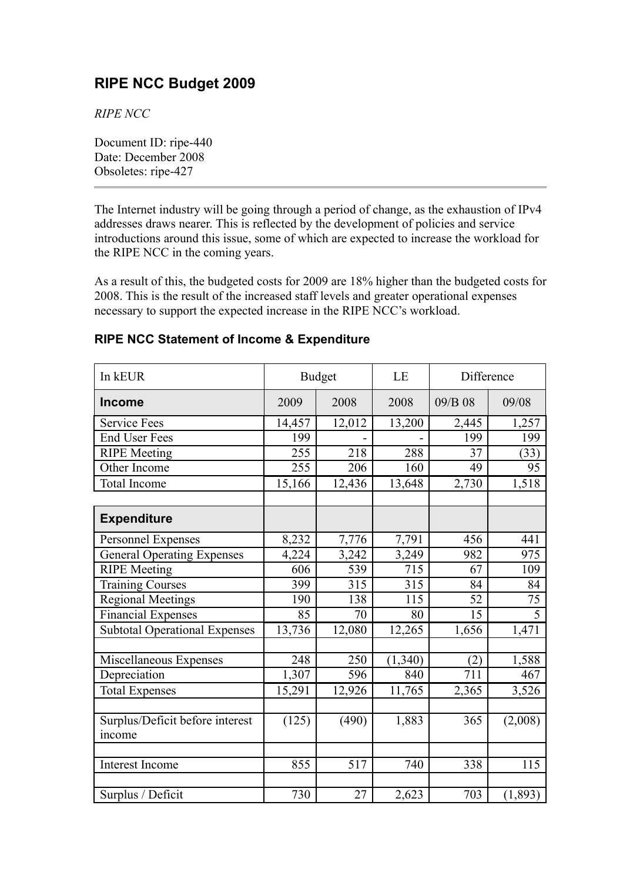# **RIPE NCC Budget 2009**

*RIPE NCC*

Document ID: ripe-440 Date: December 2008 Obsoletes: ripe-427

The Internet industry will be going through a period of change, as the exhaustion of IPv4 addresses draws nearer. This is reflected by the development of policies and service introductions around this issue, some of which are expected to increase the workload for the RIPE NCC in the coming years.

As a result of this, the budgeted costs for 2009 are 18% higher than the budgeted costs for 2008. This is the result of the increased staff levels and greater operational expenses necessary to support the expected increase in the RIPE NCC's workload.

| In kEUR                              | <b>Budget</b> |        | LE      | Difference       |                |
|--------------------------------------|---------------|--------|---------|------------------|----------------|
| <b>Income</b>                        | 2009          | 2008   | 2008    | 09/B 08          | 09/08          |
| <b>Service Fees</b>                  | 14,457        | 12,012 | 13,200  | 2,445            | 1,257          |
| <b>End User Fees</b>                 | 199           |        |         | 199              | 199            |
| <b>RIPE</b> Meeting                  | 255           | 218    | 288     | 37               | (33)           |
| Other Income                         | 255           | 206    | 160     | 49               | 95             |
| Total Income                         | 15,166        | 12,436 | 13,648  | 2,730            | 1,518          |
|                                      |               |        |         |                  |                |
| <b>Expenditure</b>                   |               |        |         |                  |                |
| Personnel Expenses                   | 8,232         | 7,776  | 7,791   | 456              | 441            |
| <b>General Operating Expenses</b>    | 4,224         | 3,242  | 3,249   | 982              | 975            |
| <b>RIPE</b> Meeting                  | 606           | 539    | 715     | 67               | 109            |
| <b>Training Courses</b>              | 399           | 315    | 315     | 84               | 84             |
| <b>Regional Meetings</b>             | 190           | 138    | 115     | 52               | 75             |
| Financial Expenses                   | 85            | 70     | 80      | 15               | $\overline{5}$ |
| <b>Subtotal Operational Expenses</b> | 13,736        | 12,080 | 12,265  | 1,656            | 1,471          |
|                                      |               |        |         |                  |                |
| Miscellaneous Expenses               | 248           | 250    | (1,340) | (2)              | 1,588          |
| Depreciation                         | 1,307         | 596    | 840     | $\overline{711}$ | 467            |
| <b>Total Expenses</b>                | 15,291        | 12,926 | 11,765  | 2,365            | 3,526          |
|                                      |               |        |         |                  |                |
| Surplus/Deficit before interest      | (125)         | (490)  | 1,883   | 365              | (2,008)        |
| income                               |               |        |         |                  |                |
|                                      |               |        |         |                  |                |
| Interest Income                      | 855           | 517    | 740     | 338              | 115            |
|                                      |               |        |         |                  |                |
| Surplus / Deficit                    | 730           | 27     | 2,623   | 703              | (1, 893)       |

#### **RIPE NCC Statement of Income & Expenditure**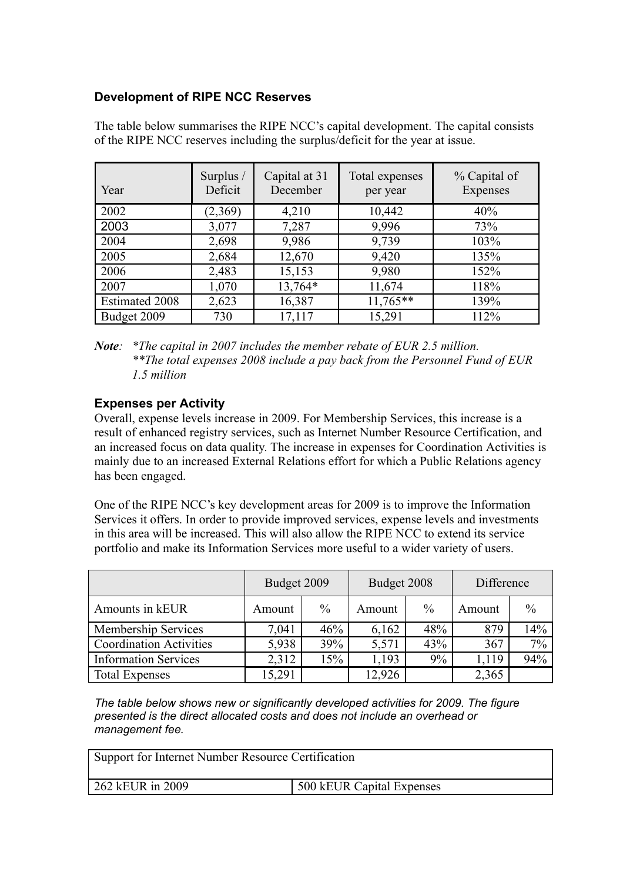### **Development of RIPE NCC Reserves**

| Year                  | Surplus /<br>Deficit | Capital at 31<br>December | Total expenses<br>per year | % Capital of<br>Expenses |
|-----------------------|----------------------|---------------------------|----------------------------|--------------------------|
| 2002                  | (2,369)              | 4,210                     | 10,442                     | 40%                      |
| 2003                  | 3,077                | 7,287                     | 9,996                      | 73%                      |
| 2004                  | 2,698                | 9,986                     | 9,739                      | 103%                     |
| 2005                  | 2,684                | 12,670                    | 9,420                      | 135%                     |
| 2006                  | 2,483                | 15,153                    | 9,980                      | 152%                     |
| 2007                  | 1,070                | 13,764*                   | 11,674                     | 118%                     |
| <b>Estimated 2008</b> | 2,623                | 16,387                    | $11,765**$                 | 139%                     |
| Budget 2009           | 730                  | 17,117                    | 15,291                     | 112%                     |

The table below summarises the RIPE NCC's capital development. The capital consists of the RIPE NCC reserves including the surplus/deficit for the year at issue.

## **Expenses per Activity**

Overall, expense levels increase in 2009. For Membership Services, this increase is a result of enhanced registry services, such as Internet Number Resource Certification, and an increased focus on data quality. The increase in expenses for Coordination Activities is mainly due to an increased External Relations effort for which a Public Relations agency has been engaged.

One of the RIPE NCC's key development areas for 2009 is to improve the Information Services it offers. In order to provide improved services, expense levels and investments in this area will be increased. This will also allow the RIPE NCC to extend its service portfolio and make its Information Services more useful to a wider variety of users.

|                                | Budget 2009 |               | Budget 2008 |               | Difference |               |
|--------------------------------|-------------|---------------|-------------|---------------|------------|---------------|
| Amounts in kEUR                | Amount      | $\frac{0}{0}$ | Amount      | $\frac{0}{0}$ | Amount     | $\frac{0}{0}$ |
| <b>Membership Services</b>     | 7,041       | 46%           | 6,162       | 48%           | 879        | 14%           |
| <b>Coordination Activities</b> | 5,938       | 39%           | 5,571       | 43%           | 367        | 7%            |
| <b>Information Services</b>    | 2,312       | 15%           | 1,193       | 9%            | ,119       | 94%           |
| <b>Total Expenses</b>          | 15,291      |               | 12,926      |               | 2,365      |               |

*The table below shows new or significantly developed activities for 2009. The figure presented is the direct allocated costs and does not include an overhead or management fee.*

| Support for Internet Number Resource Certification |                           |  |  |  |
|----------------------------------------------------|---------------------------|--|--|--|
| 262 kEUR in 2009                                   | 500 kEUR Capital Expenses |  |  |  |

*Note: \*The capital in 2007 includes the member rebate of EUR 2.5 million. \*\*The total expenses 2008 include a pay back from the Personnel Fund of EUR 1.5 million*